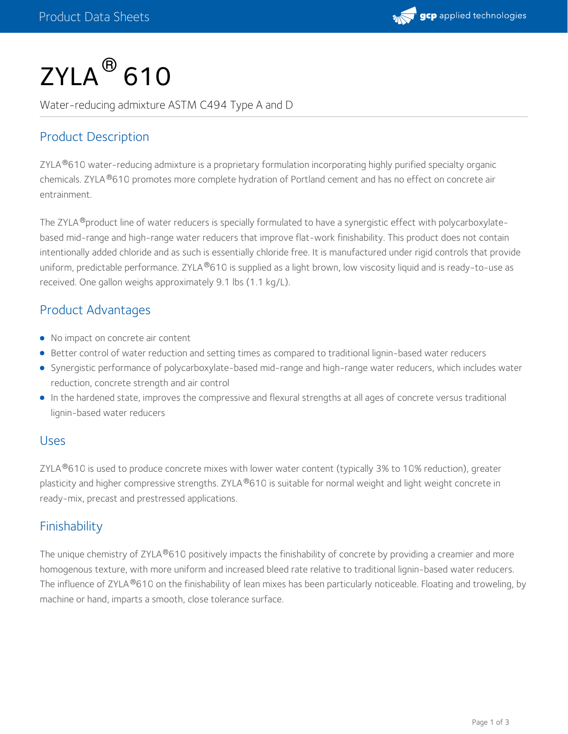

# $\mathsf{ZYLA}^{\circledR}\,$ 610

Water-reducing admixture ASTM C494 Type A and D

# Product Description

ZYLA®610 water-reducing admixture is a proprietary formulation incorporating highly purified specialty organic chemicals. ZYLA®610 promotes more complete hydration of Portland cement and has no effect on concrete air entrainment.

The ZYLA ®product line of water reducers is specially formulated to have a synergistic effect with polycarboxylatebased mid-range and high-range water reducers that improve flat-work finishability. This product does not contain intentionally added chloride and as such is essentially chloride free. It is manufactured under rigid controls that provide uniform, predictable performance. ZYLA®610 is supplied as a light brown, low viscosity liquid and is ready-to-use as received. One gallon weighs approximately 9.1 lbs (1.1 kg/L).

#### Product Advantages

- No impact on concrete air content
- Better control of water reduction and setting times as compared to traditional lignin-based water reducers
- Synergistic performance of polycarboxylate-based mid-range and high-range water reducers, which includes water reduction, concrete strength and air control
- In the hardened state, improves the compressive and flexural strengths at all ages of concrete versus traditional lignin-based water reducers

#### Uses

ZYLA $^{\circledR}$ 610 is used to produce concrete mixes with lower water content (typically 3% to 10% reduction), greater plasticity and higher compressive strengths. ZYLA®610 is suitable for normal weight and light weight concrete in ready-mix, precast and prestressed applications.

## Finishability

The unique chemistry of ZYLA®610 positively impacts the finishability of concrete by providing a creamier and more homogenous texture, with more uniform and increased bleed rate relative to traditional lignin-based water reducers. The influence of ZYLA®610 on the finishability of lean mixes has been particularly noticeable. Floating and troweling, by machine or hand, imparts a smooth, close tolerance surface.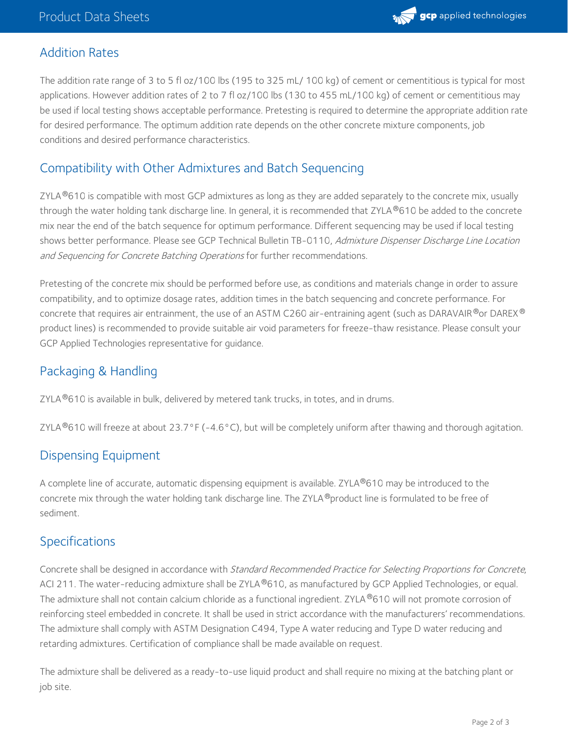

#### Addition Rates

The addition rate range of 3 to 5 fl oz/100 lbs (195 to 325 mL/ 100 kg) of cement or cementitious is typical for most applications. However addition rates of 2 to 7 fl oz/100 lbs (130 to 455 mL/100 kg) of cement or cementitious may be used if local testing shows acceptable performance. Pretesting is required to determine the appropriate addition rate for desired performance. The optimum addition rate depends on the other concrete mixture components, job conditions and desired performance characteristics.

### Compatibility with Other Admixtures and Batch Sequencing

ZYLA $^{\circledR}$ 610 is compatible with most GCP admixtures as long as they are added separately to the concrete mix, usually through the water holding tank discharge line. In general, it is recommended that ZYLA®610 be added to the concrete mix near the end of the batch sequence for optimum performance. Different sequencing may be used if local testing shows better performance. Please see GCP Technical Bulletin TB-0110, Admixture Dispenser Discharge Line Location and Sequencing for Concrete Batching Operations for further recommendations.

Pretesting of the concrete mix should be performed before use, as conditions and materials change in order to assure compatibility, and to optimize dosage rates, addition times in the batch sequencing and concrete performance. For concrete that requires air entrainment, the use of an ASTM C260 air-entraining agent (such as DARAVAIR $^\circ$ or DAREX $^\circ$ product lines) is recommended to provide suitable air void parameters for freeze-thaw resistance. Please consult your GCP Applied Technologies representative for guidance.

# Packaging & Handling

ZYLA $^\circledR$ 610 is available in bulk, delivered by metered tank trucks, in totes, and in drums.

ZYLA  $^{\circ}$ 610 will freeze at about 23.7°F (-4.6°C), but will be completely uniform after thawing and thorough agitation.

## Dispensing Equipment

A complete line of accurate, automatic dispensing equipment is available. ZYLA®610 may be introduced to the concrete mix through the water holding tank discharge line. The ZYLA®product line is formulated to be free of sediment.

#### Specifications

Concrete shall be designed in accordance with Standard Recommended Practice for Selecting Proportions for Concrete, ACI 211. The water-reducing admixture shall be ZYLA®610, as manufactured by GCP Applied Technologies, or equal. The admixture shall not contain calcium chloride as a functional ingredient. ZYLA®610 will not promote corrosion of reinforcing steel embedded in concrete. It shall be used in strict accordance with the manufacturers' recommendations. The admixture shall comply with ASTM Designation C494, Type A water reducing and Type D water reducing and retarding admixtures. Certification of compliance shall be made available on request.

The admixture shall be delivered as a ready-to-use liquid product and shall require no mixing at the batching plant or job site.